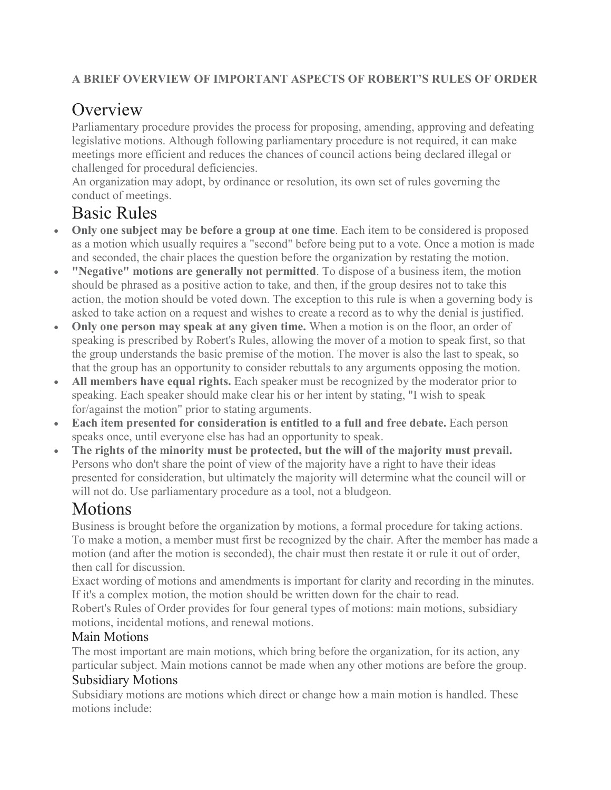### **A BRIEF OVERVIEW OF IMPORTANT ASPECTS OF ROBERT'S RULES OF ORDER**

# **Overview**

Parliamentary procedure provides the process for proposing, amending, approving and defeating legislative motions. Although following parliamentary procedure is not required, it can make meetings more efficient and reduces the chances of council actions being declared illegal or challenged for procedural deficiencies.

An organization may adopt, by ordinance or resolution, its own set of rules governing the conduct of meetings.

# Basic Rules

- **Only one subject may be before a group at one time**. Each item to be considered is proposed as a motion which usually requires a "second" before being put to a vote. Once a motion is made and seconded, the chair places the question before the organization by restating the motion.
- **"Negative" motions are generally not permitted**. To dispose of a business item, the motion should be phrased as a positive action to take, and then, if the group desires not to take this action, the motion should be voted down. The exception to this rule is when a governing body is asked to take action on a request and wishes to create a record as to why the denial is justified.
- **Only one person may speak at any given time.** When a motion is on the floor, an order of speaking is prescribed by Robert's Rules, allowing the mover of a motion to speak first, so that the group understands the basic premise of the motion. The mover is also the last to speak, so that the group has an opportunity to consider rebuttals to any arguments opposing the motion.
- **All members have equal rights.** Each speaker must be recognized by the moderator prior to speaking. Each speaker should make clear his or her intent by stating, "I wish to speak for/against the motion" prior to stating arguments.
- **Each item presented for consideration is entitled to a full and free debate.** Each person speaks once, until everyone else has had an opportunity to speak.
- **The rights of the minority must be protected, but the will of the majority must prevail.** Persons who don't share the point of view of the majority have a right to have their ideas presented for consideration, but ultimately the majority will determine what the council will or will not do. Use parliamentary procedure as a tool, not a bludgeon.

## Motions

Business is brought before the organization by motions, a formal procedure for taking actions. To make a motion, a member must first be recognized by the chair. After the member has made a motion (and after the motion is seconded), the chair must then restate it or rule it out of order, then call for discussion.

Exact wording of motions and amendments is important for clarity and recording in the minutes. If it's a complex motion, the motion should be written down for the chair to read.

Robert's Rules of Order provides for four general types of motions: main motions, subsidiary motions, incidental motions, and renewal motions.

## Main Motions

The most important are main motions, which bring before the organization, for its action, any particular subject. Main motions cannot be made when any other motions are before the group.

## Subsidiary Motions

Subsidiary motions are motions which direct or change how a main motion is handled. These motions include: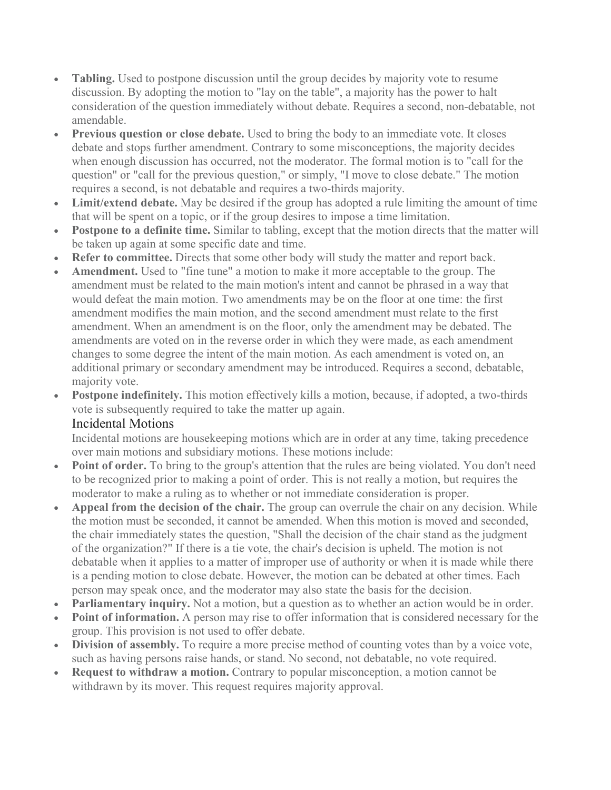- **Tabling.** Used to postpone discussion until the group decides by majority vote to resume discussion. By adopting the motion to "lay on the table", a majority has the power to halt consideration of the question immediately without debate. Requires a second, non-debatable, not amendable.
- **Previous question or close debate.** Used to bring the body to an immediate vote. It closes debate and stops further amendment. Contrary to some misconceptions, the majority decides when enough discussion has occurred, not the moderator. The formal motion is to "call for the question" or "call for the previous question," or simply, "I move to close debate." The motion requires a second, is not debatable and requires a two-thirds majority.
- **Limit/extend debate.** May be desired if the group has adopted a rule limiting the amount of time that will be spent on a topic, or if the group desires to impose a time limitation.
- **Postpone to a definite time.** Similar to tabling, except that the motion directs that the matter will be taken up again at some specific date and time.
- **Refer to committee.** Directs that some other body will study the matter and report back.
- **Amendment.** Used to "fine tune" a motion to make it more acceptable to the group. The amendment must be related to the main motion's intent and cannot be phrased in a way that would defeat the main motion. Two amendments may be on the floor at one time: the first amendment modifies the main motion, and the second amendment must relate to the first amendment. When an amendment is on the floor, only the amendment may be debated. The amendments are voted on in the reverse order in which they were made, as each amendment changes to some degree the intent of the main motion. As each amendment is voted on, an additional primary or secondary amendment may be introduced. Requires a second, debatable, majority vote.
- **Postpone indefinitely.** This motion effectively kills a motion, because, if adopted, a two-thirds vote is subsequently required to take the matter up again.

#### Incidental Motions

Incidental motions are housekeeping motions which are in order at any time, taking precedence over main motions and subsidiary motions. These motions include:

- **Point of order.** To bring to the group's attention that the rules are being violated. You don't need to be recognized prior to making a point of order. This is not really a motion, but requires the moderator to make a ruling as to whether or not immediate consideration is proper.
- **Appeal from the decision of the chair.** The group can overrule the chair on any decision. While the motion must be seconded, it cannot be amended. When this motion is moved and seconded, the chair immediately states the question, "Shall the decision of the chair stand as the judgment of the organization?" If there is a tie vote, the chair's decision is upheld. The motion is not debatable when it applies to a matter of improper use of authority or when it is made while there is a pending motion to close debate. However, the motion can be debated at other times. Each person may speak once, and the moderator may also state the basis for the decision.
- **Parliamentary inquiry.** Not a motion, but a question as to whether an action would be in order.
- **Point of information.** A person may rise to offer information that is considered necessary for the group. This provision is not used to offer debate.
- **Division of assembly.** To require a more precise method of counting votes than by a voice vote, such as having persons raise hands, or stand. No second, not debatable, no vote required.
- **Request to withdraw a motion.** Contrary to popular misconception, a motion cannot be withdrawn by its mover. This request requires majority approval.